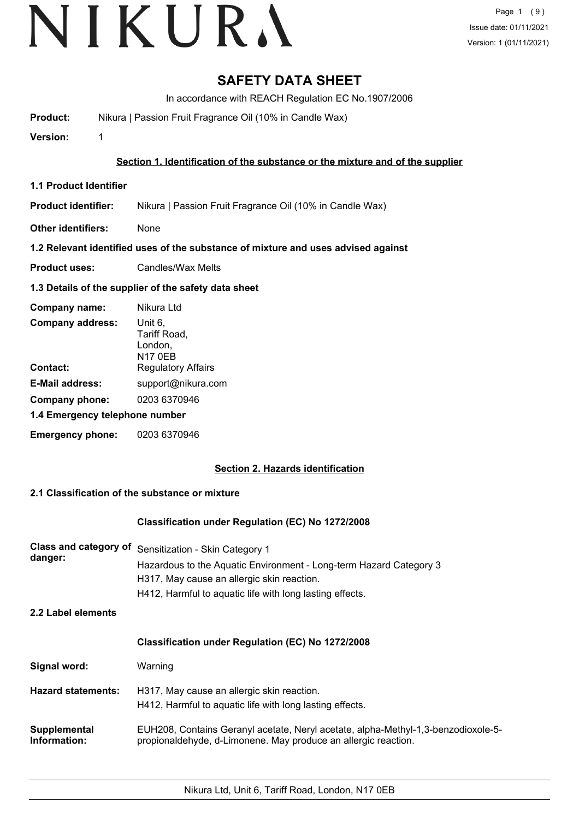# **SAFETY DATA SHEET**

In accordance with REACH Regulation EC No.1907/2006

**Product:** Nikura | Passion Fruit Fragrance Oil (10% in Candle Wax)

**Version:** 1

# **Section 1. Identification of the substance or the mixture and of the supplier**

**1.1 Product Identifier**

**Product identifier:** Nikura | Passion Fruit Fragrance Oil (10% in Candle Wax)

**Other identifiers:** None

# **1.2 Relevant identified uses of the substance of mixture and uses advised against**

**Product uses:** Candles/Wax Melts

# **1.3 Details of the supplier of the safety data sheet**

| Company name:                  | Nikura Ltd                                           |
|--------------------------------|------------------------------------------------------|
| <b>Company address:</b>        | Unit 6.<br>Tariff Road,<br>London,<br><b>N17 0EB</b> |
| Contact:                       | <b>Regulatory Affairs</b>                            |
| <b>E-Mail address:</b>         | support@nikura.com                                   |
| Company phone:                 | 0203 6370946                                         |
| 1.4 Emergency telephone number |                                                      |
| <b>Emergency phone:</b>        | 0203 6370946                                         |

# **Section 2. Hazards identification**

# **2.1 Classification of the substance or mixture**

# **Classification under Regulation (EC) No 1272/2008**

| <b>Class and category of</b><br>danger: | Sensitization - Skin Category 1<br>Hazardous to the Aquatic Environment - Long-term Hazard Category 3<br>H317, May cause an allergic skin reaction.<br>H412, Harmful to aquatic life with long lasting effects. |
|-----------------------------------------|-----------------------------------------------------------------------------------------------------------------------------------------------------------------------------------------------------------------|
| 2.2 Label elements                      |                                                                                                                                                                                                                 |
|                                         | <b>Classification under Regulation (EC) No 1272/2008</b>                                                                                                                                                        |
| Signal word:                            | Warning                                                                                                                                                                                                         |
| <b>Hazard statements:</b>               | H317, May cause an allergic skin reaction.<br>H412, Harmful to aquatic life with long lasting effects.                                                                                                          |
| Supplemental<br>Information:            | EUH208, Contains Geranyl acetate, Neryl acetate, alpha-Methyl-1,3-benzodioxole-5-<br>propionaldehyde, d-Limonene. May produce an allergic reaction.                                                             |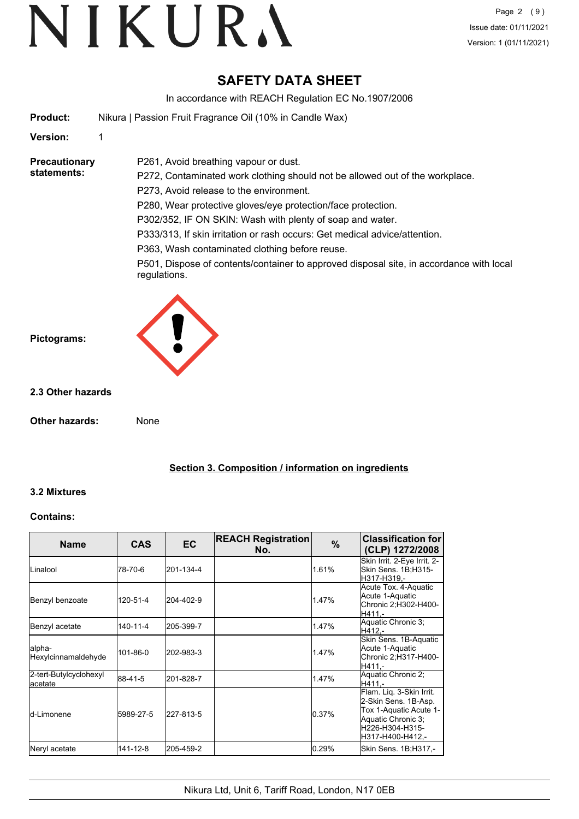# **SAFETY DATA SHEET**

In accordance with REACH Regulation EC No.1907/2006

| <b>Product:</b> | Nikura   Passion Fruit Fragrance Oil (10% in Candle Wax) |
|-----------------|----------------------------------------------------------|
|-----------------|----------------------------------------------------------|

P261, Avoid breathing vapour or dust.

# **Version:** 1

#### **Precautionary statements:**

P272, Contaminated work clothing should not be allowed out of the workplace. P273, Avoid release to the environment. P280, Wear protective gloves/eye protection/face protection.

P302/352, IF ON SKIN: Wash with plenty of soap and water.

P333/313, If skin irritation or rash occurs: Get medical advice/attention.

P363, Wash contaminated clothing before reuse.

P501, Dispose of contents/container to approved disposal site, in accordance with local regulations.



# **2.3 Other hazards**

**Other hazards:** None

**Section 3. Composition / information on ingredients**

# **3.2 Mixtures**

# **Contains:**

| <b>Name</b>                        | <b>CAS</b>     | <b>EC</b> | <b>REACH Registration</b><br>No. | $\%$  | <b>Classification for</b><br>(CLP) 1272/2008                                                                                            |
|------------------------------------|----------------|-----------|----------------------------------|-------|-----------------------------------------------------------------------------------------------------------------------------------------|
| <b>L</b> inalool                   | 78-70-6        | 201-134-4 |                                  | 1.61% | Skin Irrit. 2-Eye Irrit. 2-<br>Skin Sens. 1B;H315-<br>H317-H319.-                                                                       |
| Benzyl benzoate                    | 120-51-4       | 204-402-9 |                                  | 1.47% | Acute Tox. 4-Aquatic<br>Acute 1-Aquatic<br>Chronic 2; H302-H400-<br>H411.-                                                              |
| Benzyl acetate                     | $140 - 11 - 4$ | 205-399-7 |                                  | 1.47% | Aquatic Chronic 3;<br>H412.-                                                                                                            |
| lalpha-<br>Hexylcinnamaldehyde     | 101-86-0       | 202-983-3 |                                  | 1.47% | Skin Sens. 1B-Aquatic<br>Acute 1-Aquatic<br>Chronic 2;H317-H400-<br>H411.-                                                              |
| 2-tert-Butylcyclohexyl<br>lacetate | 88-41-5        | 201-828-7 |                                  | 1.47% | Aquatic Chronic 2;<br>H411.-                                                                                                            |
| <b>l</b> d-Limonene                | 5989-27-5      | 227-813-5 |                                  | 0.37% | Flam. Liq. 3-Skin Irrit.<br>2-Skin Sens. 1B-Asp.<br>Tox 1-Aquatic Acute 1-<br>Aquatic Chronic 3;<br>H226-H304-H315-<br>H317-H400-H412,- |
| Neryl acetate                      | 141-12-8       | 205-459-2 |                                  | 0.29% | Skin Sens. 1B;H317,-                                                                                                                    |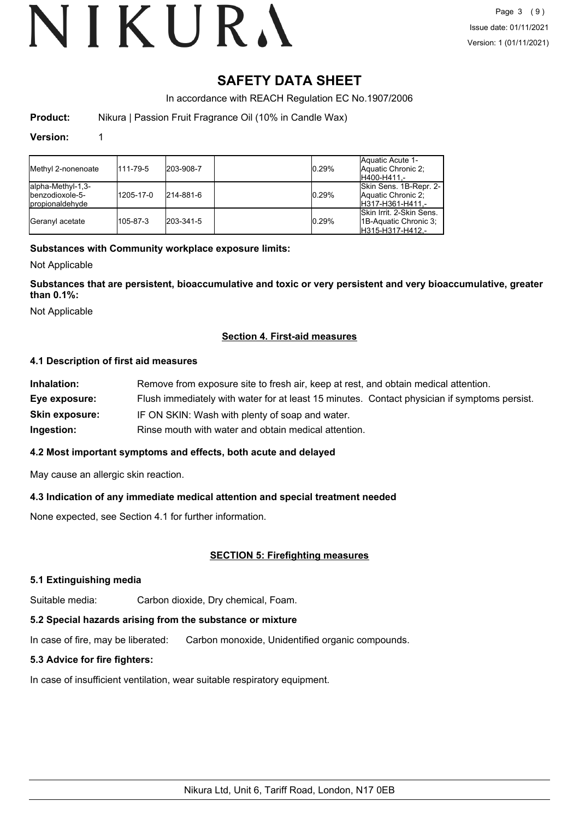# **SAFETY DATA SHEET**

In accordance with REACH Regulation EC No.1907/2006

**Product:** Nikura | Passion Fruit Fragrance Oil (10% in Candle Wax)

## **Version:** 1

| Methyl 2-nonenoate                                                | 111-79-5  | 203-908-7 | 0.29% | Aquatic Acute 1-<br>Aquatic Chronic 2:<br>H400-H411 -                    |
|-------------------------------------------------------------------|-----------|-----------|-------|--------------------------------------------------------------------------|
| alpha-Methyl-1,3-<br>lbenzodioxole-5-<br><b>I</b> propionaldehyde | 1205-17-0 | 214-881-6 | 0.29% | Skin Sens. 1B-Repr. 2-<br>Aquatic Chronic 2:<br>IH317-H361-H411.-        |
| Geranyl acetate                                                   | 105-87-3  | 203-341-5 | 0.29% | ISkin Irrit, 2-Skin Sens.<br>11B-Aquatic Chronic 3:<br>IH315-H317-H412.- |

# **Substances with Community workplace exposure limits:**

Not Applicable

**Substances that are persistent, bioaccumulative and toxic or very persistent and very bioaccumulative, greater than 0.1%:**

Not Applicable

# **Section 4. First-aid measures**

# **4.1 Description of first aid measures**

| Inhalation:           | Remove from exposure site to fresh air, keep at rest, and obtain medical attention.          |
|-----------------------|----------------------------------------------------------------------------------------------|
| Eye exposure:         | Flush immediately with water for at least 15 minutes. Contact physician if symptoms persist. |
| <b>Skin exposure:</b> | IF ON SKIN: Wash with plenty of soap and water.                                              |
| Ingestion:            | Rinse mouth with water and obtain medical attention.                                         |

# **4.2 Most important symptoms and effects, both acute and delayed**

May cause an allergic skin reaction.

# **4.3 Indication of any immediate medical attention and special treatment needed**

None expected, see Section 4.1 for further information.

# **SECTION 5: Firefighting measures**

# **5.1 Extinguishing media**

Suitable media: Carbon dioxide, Dry chemical, Foam.

# **5.2 Special hazards arising from the substance or mixture**

In case of fire, may be liberated: Carbon monoxide, Unidentified organic compounds.

# **5.3 Advice for fire fighters:**

In case of insufficient ventilation, wear suitable respiratory equipment.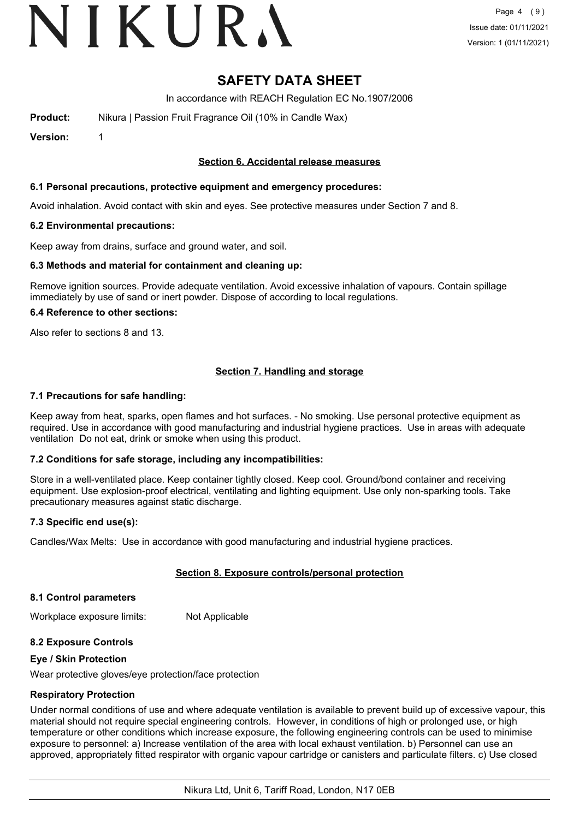# VIKURA

# **SAFETY DATA SHEET**

In accordance with REACH Regulation EC No.1907/2006

**Product:** Nikura | Passion Fruit Fragrance Oil (10% in Candle Wax)

**Version:** 1

# **Section 6. Accidental release measures**

### **6.1 Personal precautions, protective equipment and emergency procedures:**

Avoid inhalation. Avoid contact with skin and eyes. See protective measures under Section 7 and 8.

### **6.2 Environmental precautions:**

Keep away from drains, surface and ground water, and soil.

### **6.3 Methods and material for containment and cleaning up:**

Remove ignition sources. Provide adequate ventilation. Avoid excessive inhalation of vapours. Contain spillage immediately by use of sand or inert powder. Dispose of according to local regulations.

### **6.4 Reference to other sections:**

Also refer to sections 8 and 13.

# **Section 7. Handling and storage**

### **7.1 Precautions for safe handling:**

Keep away from heat, sparks, open flames and hot surfaces. - No smoking. Use personal protective equipment as required. Use in accordance with good manufacturing and industrial hygiene practices. Use in areas with adequate ventilation Do not eat, drink or smoke when using this product.

# **7.2 Conditions for safe storage, including any incompatibilities:**

Store in a well-ventilated place. Keep container tightly closed. Keep cool. Ground/bond container and receiving equipment. Use explosion-proof electrical, ventilating and lighting equipment. Use only non-sparking tools. Take precautionary measures against static discharge.

# **7.3 Specific end use(s):**

Candles/Wax Melts: Use in accordance with good manufacturing and industrial hygiene practices.

# **Section 8. Exposure controls/personal protection**

#### **8.1 Control parameters**

Workplace exposure limits: Not Applicable

# **8.2 Exposure Controls**

#### **Eye / Skin Protection**

Wear protective gloves/eye protection/face protection

# **Respiratory Protection**

Under normal conditions of use and where adequate ventilation is available to prevent build up of excessive vapour, this material should not require special engineering controls. However, in conditions of high or prolonged use, or high temperature or other conditions which increase exposure, the following engineering controls can be used to minimise exposure to personnel: a) Increase ventilation of the area with local exhaust ventilation. b) Personnel can use an approved, appropriately fitted respirator with organic vapour cartridge or canisters and particulate filters. c) Use closed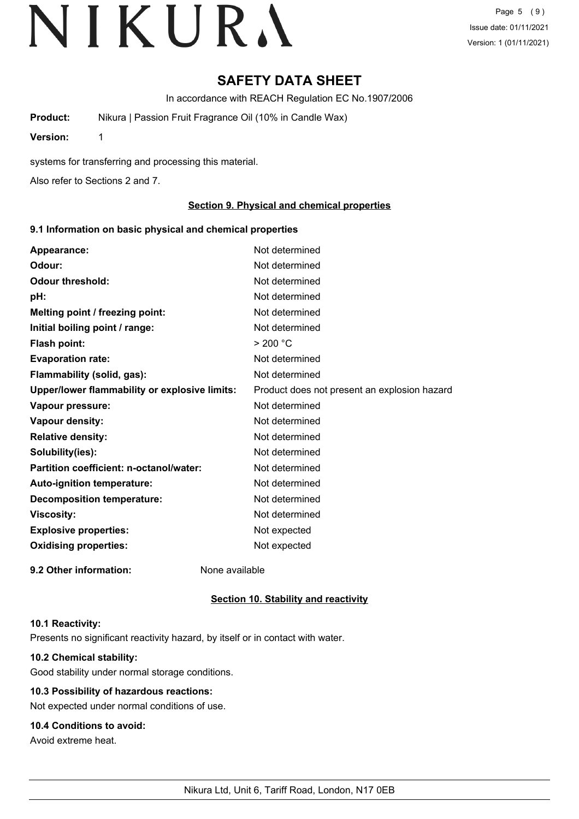# **SAFETY DATA SHEET**

In accordance with REACH Regulation EC No.1907/2006

**Product:** Nikura | Passion Fruit Fragrance Oil (10% in Candle Wax)

**Version:** 1

systems for transferring and processing this material.

Also refer to Sections 2 and 7.

# **Section 9. Physical and chemical properties**

# **9.1 Information on basic physical and chemical properties**

| Appearance:                                   | Not determined                               |
|-----------------------------------------------|----------------------------------------------|
| Odour:                                        | Not determined                               |
| <b>Odour threshold:</b>                       | Not determined                               |
| pH:                                           | Not determined                               |
| Melting point / freezing point:               | Not determined                               |
| Initial boiling point / range:                | Not determined                               |
| <b>Flash point:</b>                           | > 200 °C                                     |
| <b>Evaporation rate:</b>                      | Not determined                               |
| Flammability (solid, gas):                    | Not determined                               |
| Upper/lower flammability or explosive limits: | Product does not present an explosion hazard |
| Vapour pressure:                              | Not determined                               |
| Vapour density:                               | Not determined                               |
| <b>Relative density:</b>                      | Not determined                               |
| Solubility(ies):                              | Not determined                               |
| Partition coefficient: n-octanol/water:       | Not determined                               |
| Auto-ignition temperature:                    | Not determined                               |
| <b>Decomposition temperature:</b>             | Not determined                               |
| <b>Viscosity:</b>                             | Not determined                               |
| <b>Explosive properties:</b>                  | Not expected                                 |
| <b>Oxidising properties:</b>                  | Not expected                                 |
| 9.2 Other information:                        | None available                               |

# **Section 10. Stability and reactivity**

#### **10.1 Reactivity:**

Presents no significant reactivity hazard, by itself or in contact with water.

# **10.2 Chemical stability:**

Good stability under normal storage conditions.

# **10.3 Possibility of hazardous reactions:**

Not expected under normal conditions of use.

# **10.4 Conditions to avoid:**

Avoid extreme heat.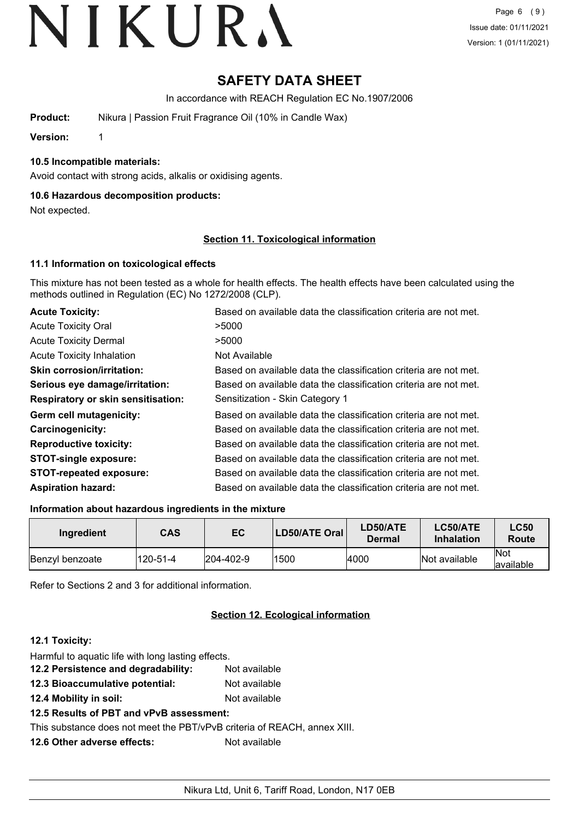# **SAFETY DATA SHEET**

In accordance with REACH Regulation EC No.1907/2006

**Product:** Nikura | Passion Fruit Fragrance Oil (10% in Candle Wax)

**Version:** 1

# **10.5 Incompatible materials:**

Avoid contact with strong acids, alkalis or oxidising agents.

## **10.6 Hazardous decomposition products:**

Not expected.

### **Section 11. Toxicological information**

## **11.1 Information on toxicological effects**

This mixture has not been tested as a whole for health effects. The health effects have been calculated using the methods outlined in Regulation (EC) No 1272/2008 (CLP).

| <b>Acute Toxicity:</b>                    | Based on available data the classification criteria are not met. |
|-------------------------------------------|------------------------------------------------------------------|
| <b>Acute Toxicity Oral</b>                | >5000                                                            |
| <b>Acute Toxicity Dermal</b>              | >5000                                                            |
| <b>Acute Toxicity Inhalation</b>          | Not Available                                                    |
| <b>Skin corrosion/irritation:</b>         | Based on available data the classification criteria are not met. |
| Serious eye damage/irritation:            | Based on available data the classification criteria are not met. |
| <b>Respiratory or skin sensitisation:</b> | Sensitization - Skin Category 1                                  |
| Germ cell mutagenicity:                   | Based on available data the classification criteria are not met. |
| <b>Carcinogenicity:</b>                   | Based on available data the classification criteria are not met. |
| <b>Reproductive toxicity:</b>             | Based on available data the classification criteria are not met. |
| <b>STOT-single exposure:</b>              | Based on available data the classification criteria are not met. |
| <b>STOT-repeated exposure:</b>            | Based on available data the classification criteria are not met. |
| <b>Aspiration hazard:</b>                 | Based on available data the classification criteria are not met. |

#### **Information about hazardous ingredients in the mixture**

| Ingredient             | <b>CAS</b> | EC                | LD50/ATE Oral | LD50/ATE<br><b>Dermal</b> | LC50/ATE<br><b>Inhalation</b> | <b>LC50</b><br>Route |
|------------------------|------------|-------------------|---------------|---------------------------|-------------------------------|----------------------|
| <b>Benzyl benzoate</b> | 120-51-4   | $ 204 - 402 - 9 $ | 1500          | 4000                      | Not available                 | lNot<br>lavailable   |

Refer to Sections 2 and 3 for additional information.

# **Section 12. Ecological information**

# **12.1 Toxicity:**

| Harmful to aquatic life with long lasting effects.                       |               |
|--------------------------------------------------------------------------|---------------|
| 12.2 Persistence and degradability:                                      | Not available |
| 12.3 Bioaccumulative potential:                                          | Not available |
| 12.4 Mobility in soil:                                                   | Not available |
| 12.5 Results of PBT and vPvB assessment:                                 |               |
| This substance does not meet the PBT/vPvB criteria of REACH, annex XIII. |               |
| 12.6 Other adverse effects:                                              | Not available |
|                                                                          |               |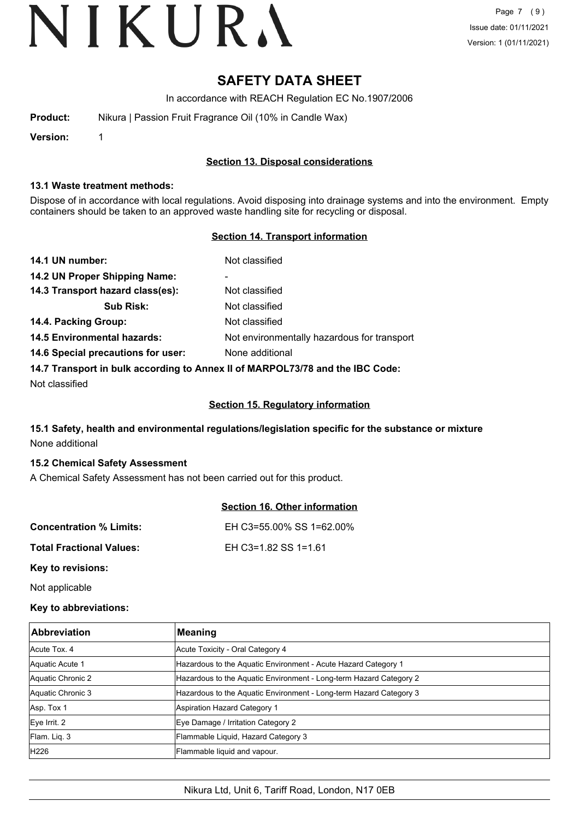# **SAFETY DATA SHEET**

In accordance with REACH Regulation EC No.1907/2006

| Product: | Nikura   Passion Fruit Fragrance Oil (10% in Candle Wax) |
|----------|----------------------------------------------------------|
|----------|----------------------------------------------------------|

**Version:** 1

# **Section 13. Disposal considerations**

#### **13.1 Waste treatment methods:**

Dispose of in accordance with local regulations. Avoid disposing into drainage systems and into the environment. Empty containers should be taken to an approved waste handling site for recycling or disposal.

# **Section 14. Transport information**

| 14.1 UN number:                                                               | Not classified                              |
|-------------------------------------------------------------------------------|---------------------------------------------|
| 14.2 UN Proper Shipping Name:                                                 | $\overline{\phantom{a}}$                    |
| 14.3 Transport hazard class(es):                                              | Not classified                              |
| <b>Sub Risk:</b>                                                              | Not classified                              |
| 14.4. Packing Group:                                                          | Not classified                              |
| <b>14.5 Environmental hazards:</b>                                            | Not environmentally hazardous for transport |
| 14.6 Special precautions for user:                                            | None additional                             |
| 14.7 Transport in bulk according to Annex II of MARPOL73/78 and the IBC Code: |                                             |

Not classified

# **Section 15. Regulatory information**

# **15.1 Safety, health and environmental regulations/legislation specific for the substance or mixture** None additional

# **15.2 Chemical Safety Assessment**

A Chemical Safety Assessment has not been carried out for this product.

|                                | <b>Section 16. Other information</b> |
|--------------------------------|--------------------------------------|
| <b>Concentration % Limits:</b> | EH C3=55.00% SS 1=62.00%             |
| Total Fractional Values:       | EH C3=1.82 SS 1=1.61                 |
| Key to revisions:              |                                      |

Not applicable

# **Key to abbreviations:**

| <b>Abbreviation</b> | <b>Meaning</b>                                                     |
|---------------------|--------------------------------------------------------------------|
| Acute Tox, 4        | Acute Toxicity - Oral Category 4                                   |
| Aquatic Acute 1     | Hazardous to the Aquatic Environment - Acute Hazard Category 1     |
| Aquatic Chronic 2   | Hazardous to the Aquatic Environment - Long-term Hazard Category 2 |
| Aquatic Chronic 3   | Hazardous to the Aquatic Environment - Long-term Hazard Category 3 |
| Asp. Tox 1          | Aspiration Hazard Category 1                                       |
| Eye Irrit. 2        | Eye Damage / Irritation Category 2                                 |
| Flam. Liq. 3        | Flammable Liquid, Hazard Category 3                                |
| H226                | Flammable liquid and vapour.                                       |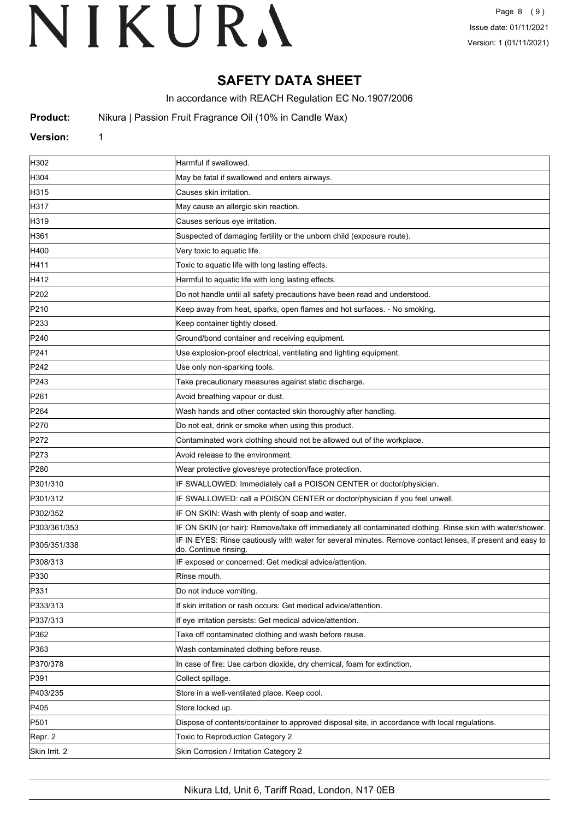# **SAFETY DATA SHEET**

In accordance with REACH Regulation EC No.1907/2006

**Product:** Nikura | Passion Fruit Fragrance Oil (10% in Candle Wax)

# **Version:** 1

| H302             | Harmful if swallowed.                                                                                                              |
|------------------|------------------------------------------------------------------------------------------------------------------------------------|
| H304             | May be fatal if swallowed and enters airways.                                                                                      |
| H315             | Causes skin irritation.                                                                                                            |
| H317             | May cause an allergic skin reaction.                                                                                               |
| H319             | Causes serious eye irritation.                                                                                                     |
| H361             | Suspected of damaging fertility or the unborn child (exposure route).                                                              |
| H400             | Very toxic to aquatic life.                                                                                                        |
| H411             | Toxic to aquatic life with long lasting effects.                                                                                   |
| H412             | Harmful to aquatic life with long lasting effects.                                                                                 |
| P202             | Do not handle until all safety precautions have been read and understood.                                                          |
| P210             | Keep away from heat, sparks, open flames and hot surfaces. - No smoking.                                                           |
| P233             | Keep container tightly closed.                                                                                                     |
| P240             | Ground/bond container and receiving equipment.                                                                                     |
| P241             | Use explosion-proof electrical, ventilating and lighting equipment.                                                                |
| P242             | Use only non-sparking tools.                                                                                                       |
| P243             | Take precautionary measures against static discharge.                                                                              |
| P261             | Avoid breathing vapour or dust.                                                                                                    |
| P <sub>264</sub> | Wash hands and other contacted skin thoroughly after handling.                                                                     |
| P270             | Do not eat, drink or smoke when using this product.                                                                                |
| P272             | Contaminated work clothing should not be allowed out of the workplace.                                                             |
| P273             | Avoid release to the environment.                                                                                                  |
| P280             | Wear protective gloves/eye protection/face protection.                                                                             |
| P301/310         | IF SWALLOWED: Immediately call a POISON CENTER or doctor/physician.                                                                |
| P301/312         | IF SWALLOWED: call a POISON CENTER or doctor/physician if you feel unwell.                                                         |
| P302/352         | IF ON SKIN: Wash with plenty of soap and water.                                                                                    |
| P303/361/353     | IF ON SKIN (or hair): Remove/take off immediately all contaminated clothing. Rinse skin with water/shower.                         |
| P305/351/338     | IF IN EYES: Rinse cautiously with water for several minutes. Remove contact lenses, if present and easy to<br>do. Continue rinsing |
| P308/313         | IF exposed or concerned: Get medical advice/attention.                                                                             |
| P330             | Rinse mouth.                                                                                                                       |
| P331             | Do not induce vomiting.                                                                                                            |
| P333/313         | If skin irritation or rash occurs: Get medical advice/attention.                                                                   |
| P337/313         | If eye irritation persists: Get medical advice/attention.                                                                          |
| P362             | Take off contaminated clothing and wash before reuse.                                                                              |
| P363             | Wash contaminated clothing before reuse.                                                                                           |
| P370/378         | In case of fire: Use carbon dioxide, dry chemical, foam for extinction.                                                            |
| P391             | Collect spillage.                                                                                                                  |
| P403/235         | Store in a well-ventilated place. Keep cool.                                                                                       |
| P405             | Store locked up.                                                                                                                   |
| P501             | Dispose of contents/container to approved disposal site, in accordance with local regulations.                                     |
| Repr. 2          | Toxic to Reproduction Category 2                                                                                                   |
| Skin Irrit. 2    | Skin Corrosion / Irritation Category 2                                                                                             |